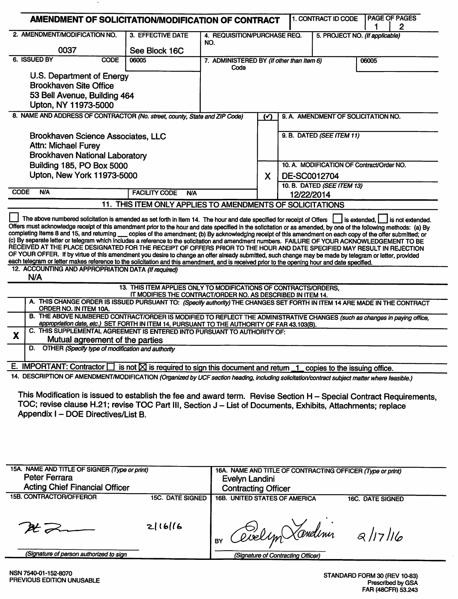|              | 2. AMENDMENT/MODIFICATION NO.                                                                                                                                                                                                                                                                                                                                                                                                                                                                                                                                                                               | 3. EFFECTIVE DATE                                                                                 |                                                                       |               |  |                                           |                | 2                |
|--------------|-------------------------------------------------------------------------------------------------------------------------------------------------------------------------------------------------------------------------------------------------------------------------------------------------------------------------------------------------------------------------------------------------------------------------------------------------------------------------------------------------------------------------------------------------------------------------------------------------------------|---------------------------------------------------------------------------------------------------|-----------------------------------------------------------------------|---------------|--|-------------------------------------------|----------------|------------------|
|              |                                                                                                                                                                                                                                                                                                                                                                                                                                                                                                                                                                                                             |                                                                                                   | 4. REQUISITION/PURCHASE REQ.<br>5. PROJECT NO. (If applicable)<br>NO. |               |  |                                           |                |                  |
|              | 0037                                                                                                                                                                                                                                                                                                                                                                                                                                                                                                                                                                                                        | See Block 16C<br>06005                                                                            |                                                                       |               |  |                                           |                |                  |
| 6. ISSUED BY | <b>CODE</b>                                                                                                                                                                                                                                                                                                                                                                                                                                                                                                                                                                                                 | 7. ADMINISTERED BY (If other than Item 6)<br>Code                                                 |                                                                       |               |  | 06005                                     |                |                  |
|              | U.S. Department of Energy                                                                                                                                                                                                                                                                                                                                                                                                                                                                                                                                                                                   |                                                                                                   |                                                                       |               |  |                                           |                |                  |
|              | <b>Brookhaven Site Office</b>                                                                                                                                                                                                                                                                                                                                                                                                                                                                                                                                                                               |                                                                                                   |                                                                       |               |  |                                           |                |                  |
|              | 53 Bell Avenue, Building 464                                                                                                                                                                                                                                                                                                                                                                                                                                                                                                                                                                                |                                                                                                   |                                                                       |               |  |                                           |                |                  |
|              | Upton, NY 11973-5000                                                                                                                                                                                                                                                                                                                                                                                                                                                                                                                                                                                        |                                                                                                   |                                                                       |               |  |                                           |                |                  |
|              | 8. NAME AND ADDRESS OF CONTRACTOR (No. street, county, State and ZIP Code)                                                                                                                                                                                                                                                                                                                                                                                                                                                                                                                                  |                                                                                                   |                                                                       | $\mathcal{L}$ |  | 9. A. AMENDMENT OF SOLICITATION NO.       |                |                  |
|              |                                                                                                                                                                                                                                                                                                                                                                                                                                                                                                                                                                                                             |                                                                                                   |                                                                       |               |  |                                           |                |                  |
|              | <b>Brookhaven Science Associates, LLC</b>                                                                                                                                                                                                                                                                                                                                                                                                                                                                                                                                                                   |                                                                                                   |                                                                       |               |  | 9. B. DATED (SEE ITEM 11)                 |                |                  |
|              | <b>Attn: Michael Furey</b>                                                                                                                                                                                                                                                                                                                                                                                                                                                                                                                                                                                  |                                                                                                   |                                                                       |               |  |                                           |                |                  |
|              | <b>Brookhaven National Laboratory</b>                                                                                                                                                                                                                                                                                                                                                                                                                                                                                                                                                                       |                                                                                                   |                                                                       |               |  |                                           |                |                  |
|              | Building 185, PO Box 5000                                                                                                                                                                                                                                                                                                                                                                                                                                                                                                                                                                                   |                                                                                                   |                                                                       |               |  | 10. A. MODIFICATION OF Contract/Order NO. |                |                  |
|              | Upton, New York 11973-5000                                                                                                                                                                                                                                                                                                                                                                                                                                                                                                                                                                                  |                                                                                                   |                                                                       | X             |  | DE-SC0012704                              |                |                  |
| <b>CODE</b>  | <b>N/A</b>                                                                                                                                                                                                                                                                                                                                                                                                                                                                                                                                                                                                  | <b>FACILITY CODE</b><br><b>N/A</b>                                                                |                                                                       |               |  | 10. B. DATED (SEE ITEM 13)<br>12/22/2014  |                |                  |
|              |                                                                                                                                                                                                                                                                                                                                                                                                                                                                                                                                                                                                             | 11. THIS ITEM ONLY APPLIES TO AMENDMENTS OF SOLICITATIONS                                         |                                                                       |               |  |                                           |                |                  |
|              | The above numbered solicitation is amended as set forth in Item 14. The hour and date specified for receipt of Offers<br>Offers must acknowledge receipt of this amendment prior to the hour and date specified in the solicitation or as amended, by one of the following methods: (a) By<br>completing Items 8 and 15, and returning __ copies of the amendment; (b) By acknowledging receipt of this amendment on each copy of the offer submitted; or<br>(c) By separate letter or telegram which includes a reference to the solicitation and amendment numbers. FAILURE OF YOUR ACKNOWLEDGEMENT TO BE |                                                                                                   |                                                                       |               |  |                                           | I is extended. | is not extended. |
| N/A          | RECEIVED AT THE PLACE DESIGNATED FOR THE RECEIPT OF OFFERS PRIOR TO THE HOUR AND DATE SPECIFIED MAY RESULT IN REJECTION<br>OF YOUR OFFER. If by virtue of this amendment you desire to change an offer already submitted, such change may be made by telegram or letter, provided<br>each telegram or letter makes reference to the solicitation and this amendment, and is received prior to the opening hour and date specified.<br>12. ACCOUNTING AND APPROPRIATION DATA (If required)                                                                                                                   |                                                                                                   |                                                                       |               |  |                                           |                |                  |
|              |                                                                                                                                                                                                                                                                                                                                                                                                                                                                                                                                                                                                             | 13. THIS ITEM APPLIES ONLY TO MODIFICATIONS OF CONTRACTS/ORDERS.                                  |                                                                       |               |  |                                           |                |                  |
|              | A. THIS CHANGE ORDER IS ISSUED PURSUANT TO: (Specify authority) THE CHANGES SET FORTH IN ITEM 14 ARE MADE IN THE CONTRACT<br>ORDER NO. IN ITEM 10A.                                                                                                                                                                                                                                                                                                                                                                                                                                                         | IT MODIFIES THE CONTRACT/ORDER NO. AS DESCRIBED IN ITEM 14.                                       |                                                                       |               |  |                                           |                |                  |
|              | B. THE ABOVE NUMBERED CONTRACT/ORDER IS MODIFIED TO REFLECT THE ADMINISTRATIVE CHANGES (such as changes in paying office,                                                                                                                                                                                                                                                                                                                                                                                                                                                                                   |                                                                                                   |                                                                       |               |  |                                           |                |                  |
|              | appropriation date, etc.) SET FORTH IN ITEM 14, PURSUANT TO THE AUTHORITY OF FAR 43.103(B).<br>C. THIS SUPPLEMENTAL AGREEMENT IS ENTERED INTO PURSUANT TO AUTHORITY OF:                                                                                                                                                                                                                                                                                                                                                                                                                                     |                                                                                                   |                                                                       |               |  |                                           |                |                  |
|              | Mutual agreement of the parties                                                                                                                                                                                                                                                                                                                                                                                                                                                                                                                                                                             |                                                                                                   |                                                                       |               |  |                                           |                |                  |
|              | D. OTHER (Specify type of modification and authority                                                                                                                                                                                                                                                                                                                                                                                                                                                                                                                                                        |                                                                                                   |                                                                       |               |  |                                           |                |                  |
|              |                                                                                                                                                                                                                                                                                                                                                                                                                                                                                                                                                                                                             |                                                                                                   |                                                                       |               |  |                                           |                |                  |
| X            | E. IMPORTANT: Contractor $\Box$<br>14. DESCRIPTION OF AMENDMENT/MODIFICATION (Organized by UCF section heading, including solicitation/contract subject matter where feasible.)                                                                                                                                                                                                                                                                                                                                                                                                                             | is not $\boxtimes$ is required to sign this document and return $1$ copies to the issuing office. |                                                                       |               |  |                                           |                |                  |

| 15A. NAME AND TITLE OF SIGNER (Type or print)<br>Peter Ferrara<br><b>Acting Chief Financial Officer</b> |                                    | 16A. NAME AND TITLE OF CONTRACTING OFFICER (Type or print)<br>Evelyn Landini<br><b>Contracting Officer</b> |                                               |  |
|---------------------------------------------------------------------------------------------------------|------------------------------------|------------------------------------------------------------------------------------------------------------|-----------------------------------------------|--|
| 15B. CONTRACTOR/OFFEROR                                                                                 | <b>15C. DATE SIGNED</b><br>2 16 16 | <b>16B. UNITED STATES OF AMERICA</b><br>Givelyn Xandinn                                                    | <b>16C. DATE SIGNED</b><br>$\frac{2}{17}$ /16 |  |
| (Signature of person authorized to sign                                                                 |                                    | (Signature of Contracting Officer)                                                                         |                                               |  |

 $\ddot{\phantom{a}}$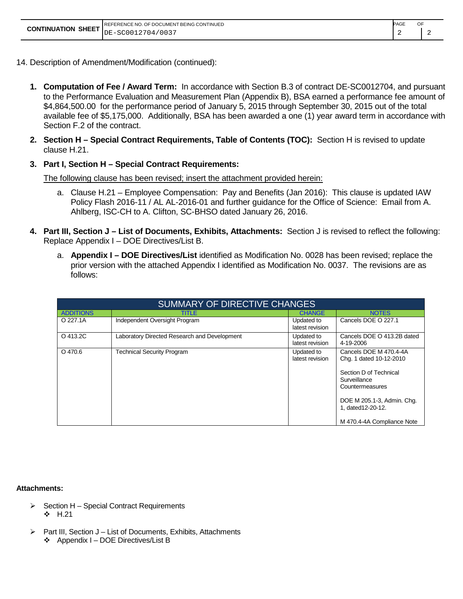| REFERENCE NO. OF DOCUMENT BEING CONTINUED             |
|-------------------------------------------------------|
| <b>CONTINUATION SHEET</b> $\vert_{DE-SC0012704/0037}$ |

PAGE OF 2 2

- 14. Description of Amendment/Modification (continued):
	- **1. Computation of Fee / Award Term:** In accordance with Section B.3 of contract DE-SC0012704, and pursuant to the Performance Evaluation and Measurement Plan (Appendix B), BSA earned a performance fee amount of \$4,864,500.00 for the performance period of January 5, 2015 through September 30, 2015 out of the total available fee of \$5,175,000. Additionally, BSA has been awarded a one (1) year award term in accordance with Section F.2 of the contract.
	- **2. Section H – Special Contract Requirements, Table of Contents (TOC):** Section H is revised to update clause H.21.
	- **3. Part I, Section H – Special Contract Requirements:**

The following clause has been revised; insert the attachment provided herein:

- a. Clause H.21 Employee Compensation: Pay and Benefits (Jan 2016): This clause is updated IAW Policy Flash 2016-11 / AL AL-2016-01 and further guidance for the Office of Science: Email from A. Ahlberg, ISC-CH to A. Clifton, SC-BHSO dated January 26, 2016.
- **4. Part III, Section J – List of Documents, Exhibits, Attachments:** Section J is revised to reflect the following: Replace Appendix I – DOE Directives/List B.
	- a. **Appendix I – DOE Directives/List** identified as Modification No. 0028 has been revised; replace the prior version with the attached Appendix I identified as Modification No. 0037. The revisions are as follows:

| SUMMARY OF DIRECTIVE CHANGES |                                              |                               |                                                                                                                                                                                                  |  |  |  |
|------------------------------|----------------------------------------------|-------------------------------|--------------------------------------------------------------------------------------------------------------------------------------------------------------------------------------------------|--|--|--|
| <b>ADDITIONS</b>             | <b>TITLE</b>                                 | <b>CHANGE</b>                 | <b>NOTES</b>                                                                                                                                                                                     |  |  |  |
| O 227.1A                     | Independent Oversight Program                | Updated to<br>latest revision | Cancels DOE O 227.1                                                                                                                                                                              |  |  |  |
| O 413.2C                     | Laboratory Directed Research and Development | Updated to<br>latest revision | Cancels DOE O 413.2B dated<br>4-19-2006                                                                                                                                                          |  |  |  |
| $O$ 470.6                    | <b>Technical Security Program</b>            | Updated to<br>latest revision | Cancels DOE M 470.4-4A<br>Chg. 1 dated 10-12-2010<br>Section D of Technical<br>Surveillance<br>Countermeasures<br>DOE M 205.1-3, Admin. Chg.<br>1, dated 12-20-12.<br>M 470.4-4A Compliance Note |  |  |  |

#### **Attachments:**

- $\triangleright$  Section H Special Contract Requirements  $\div$  H.21
- $\triangleright$  Part III, Section J List of Documents, Exhibits, Attachments ❖ Appendix I – DOE Directives/List B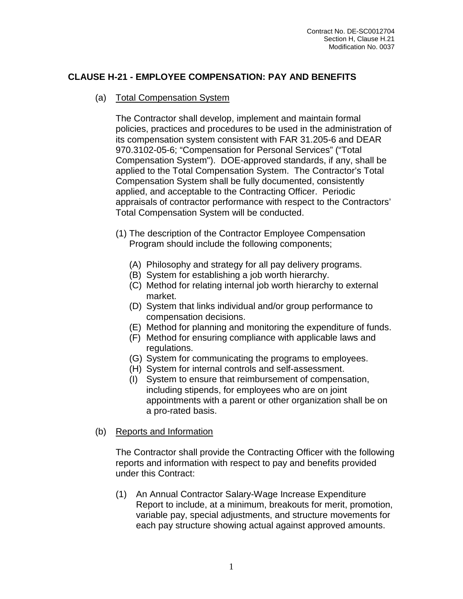## **CLAUSE H-21 - EMPLOYEE COMPENSATION: PAY AND BENEFITS**

(a) Total Compensation System

The Contractor shall develop, implement and maintain formal policies, practices and procedures to be used in the administration of its compensation system consistent with FAR 31.205-6 and DEAR 970.3102-05-6; "Compensation for Personal Services" ("Total Compensation System"). DOE-approved standards, if any, shall be applied to the Total Compensation System. The Contractor's Total Compensation System shall be fully documented, consistently applied, and acceptable to the Contracting Officer. Periodic appraisals of contractor performance with respect to the Contractors' Total Compensation System will be conducted.

- (1) The description of the Contractor Employee Compensation Program should include the following components;
	- (A) Philosophy and strategy for all pay delivery programs.
	- (B) System for establishing a job worth hierarchy.
	- (C) Method for relating internal job worth hierarchy to external market.
	- (D) System that links individual and/or group performance to compensation decisions.
	- (E) Method for planning and monitoring the expenditure of funds.
	- (F) Method for ensuring compliance with applicable laws and regulations.
	- (G) System for communicating the programs to employees.
	- (H) System for internal controls and self-assessment.
	- (I) System to ensure that reimbursement of compensation, including stipends, for employees who are on joint appointments with a parent or other organization shall be on a pro-rated basis.
- (b) Reports and Information

The Contractor shall provide the Contracting Officer with the following reports and information with respect to pay and benefits provided under this Contract:

(1) An Annual Contractor Salary-Wage Increase Expenditure Report to include, at a minimum, breakouts for merit, promotion, variable pay, special adjustments, and structure movements for each pay structure showing actual against approved amounts.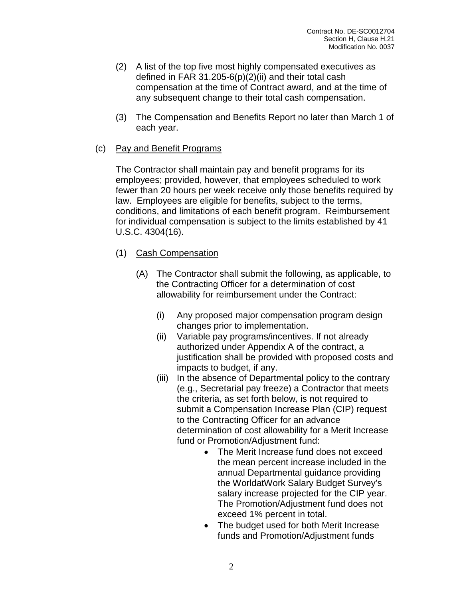- (2) A list of the top five most highly compensated executives as defined in FAR 31.205-6(p)(2)(ii) and their total cash compensation at the time of Contract award, and at the time of any subsequent change to their total cash compensation.
- (3) The Compensation and Benefits Report no later than March 1 of each year.
- (c) Pay and Benefit Programs

The Contractor shall maintain pay and benefit programs for its employees; provided, however, that employees scheduled to work fewer than 20 hours per week receive only those benefits required by law. Employees are eligible for benefits, subject to the terms, conditions, and limitations of each benefit program. Reimbursement for individual compensation is subject to the limits established by 41 U.S.C. 4304(16).

- (1) Cash Compensation
	- (A) The Contractor shall submit the following, as applicable, to the Contracting Officer for a determination of cost allowability for reimbursement under the Contract:
		- (i) Any proposed major compensation program design changes prior to implementation.
		- (ii) Variable pay programs/incentives. If not already authorized under Appendix A of the contract, a justification shall be provided with proposed costs and impacts to budget, if any.
		- (iii) In the absence of Departmental policy to the contrary (e.g., Secretarial pay freeze) a Contractor that meets the criteria, as set forth below, is not required to submit a Compensation Increase Plan (CIP) request to the Contracting Officer for an advance determination of cost allowability for a Merit Increase fund or Promotion/Adjustment fund:
			- The Merit Increase fund does not exceed the mean percent increase included in the annual Departmental guidance providing the WorldatWork Salary Budget Survey's salary increase projected for the CIP year. The Promotion/Adjustment fund does not exceed 1% percent in total.
			- The budget used for both Merit Increase funds and Promotion/Adjustment funds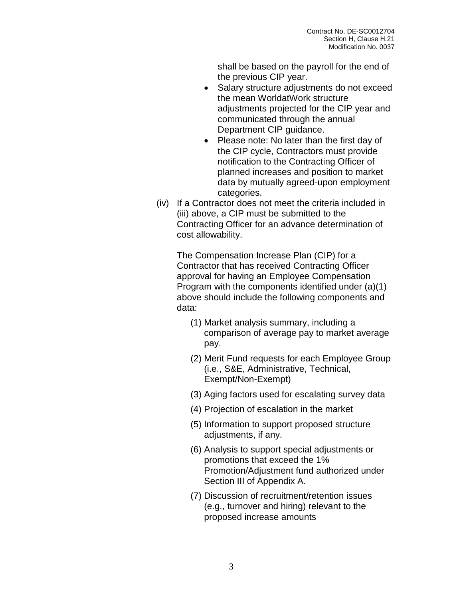shall be based on the payroll for the end of the previous CIP year.

- Salary structure adjustments do not exceed the mean WorldatWork structure adjustments projected for the CIP year and communicated through the annual Department CIP guidance.
- Please note: No later than the first day of the CIP cycle, Contractors must provide notification to the Contracting Officer of planned increases and position to market data by mutually agreed-upon employment categories.
- (iv) If a Contractor does not meet the criteria included in (iii) above, a CIP must be submitted to the Contracting Officer for an advance determination of cost allowability.

The Compensation Increase Plan (CIP) for a Contractor that has received Contracting Officer approval for having an Employee Compensation Program with the components identified under (a)(1) above should include the following components and data:

- (1) Market analysis summary, including a comparison of average pay to market average pay.
- (2) Merit Fund requests for each Employee Group (i.e., S&E, Administrative, Technical, Exempt/Non-Exempt)
- (3) Aging factors used for escalating survey data
- (4) Projection of escalation in the market
- (5) Information to support proposed structure adjustments, if any.
- (6) Analysis to support special adjustments or promotions that exceed the 1% Promotion/Adjustment fund authorized under Section III of Appendix A.
- (7) Discussion of recruitment/retention issues (e.g., turnover and hiring) relevant to the proposed increase amounts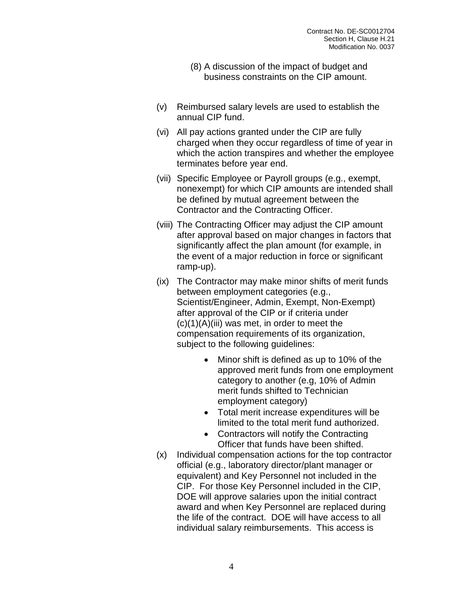- (8) A discussion of the impact of budget and business constraints on the CIP amount.
- (v) Reimbursed salary levels are used to establish the annual CIP fund.
- (vi) All pay actions granted under the CIP are fully charged when they occur regardless of time of year in which the action transpires and whether the employee terminates before year end.
- (vii) Specific Employee or Payroll groups (e.g., exempt, nonexempt) for which CIP amounts are intended shall be defined by mutual agreement between the Contractor and the Contracting Officer.
- (viii) The Contracting Officer may adjust the CIP amount after approval based on major changes in factors that significantly affect the plan amount (for example, in the event of a major reduction in force or significant ramp-up).
- (ix) The Contractor may make minor shifts of merit funds between employment categories (e.g., Scientist/Engineer, Admin, Exempt, Non-Exempt) after approval of the CIP or if criteria under (c)(1)(A)(iii) was met, in order to meet the compensation requirements of its organization, subject to the following guidelines:
	- Minor shift is defined as up to 10% of the approved merit funds from one employment category to another (e.g, 10% of Admin merit funds shifted to Technician employment category)
	- Total merit increase expenditures will be limited to the total merit fund authorized.
	- Contractors will notify the Contracting Officer that funds have been shifted.
- (x) Individual compensation actions for the top contractor official (e.g., laboratory director/plant manager or equivalent) and Key Personnel not included in the CIP. For those Key Personnel included in the CIP, DOE will approve salaries upon the initial contract award and when Key Personnel are replaced during the life of the contract. DOE will have access to all individual salary reimbursements. This access is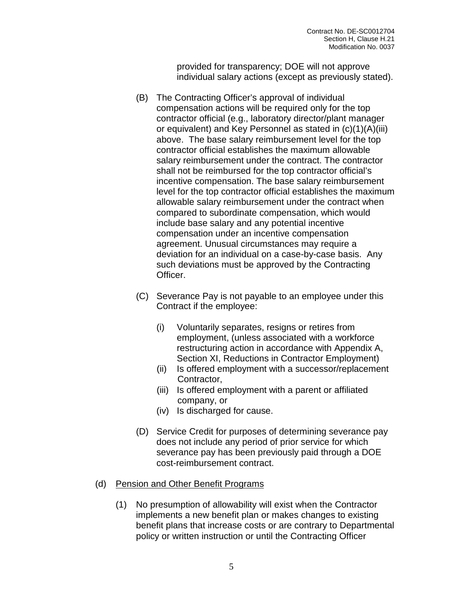provided for transparency; DOE will not approve individual salary actions (except as previously stated).

- (B) The Contracting Officer's approval of individual compensation actions will be required only for the top contractor official (e.g., laboratory director/plant manager or equivalent) and Key Personnel as stated in (c)(1)(A)(iii) above. The base salary reimbursement level for the top contractor official establishes the maximum allowable salary reimbursement under the contract. The contractor shall not be reimbursed for the top contractor official's incentive compensation. The base salary reimbursement level for the top contractor official establishes the maximum allowable salary reimbursement under the contract when compared to subordinate compensation, which would include base salary and any potential incentive compensation under an incentive compensation agreement. Unusual circumstances may require a deviation for an individual on a case-by-case basis. Any such deviations must be approved by the Contracting Officer.
- (C) Severance Pay is not payable to an employee under this Contract if the employee:
	- (i) Voluntarily separates, resigns or retires from employment, (unless associated with a workforce restructuring action in accordance with Appendix A, Section XI, Reductions in Contractor Employment)
	- (ii) Is offered employment with a successor/replacement Contractor,
	- (iii) Is offered employment with a parent or affiliated company, or
	- (iv) Is discharged for cause.
- (D) Service Credit for purposes of determining severance pay does not include any period of prior service for which severance pay has been previously paid through a DOE cost-reimbursement contract.

### (d) Pension and Other Benefit Programs

(1) No presumption of allowability will exist when the Contractor implements a new benefit plan or makes changes to existing benefit plans that increase costs or are contrary to Departmental policy or written instruction or until the Contracting Officer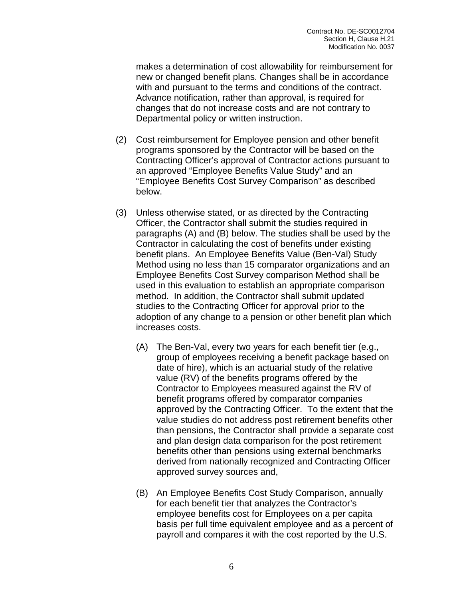makes a determination of cost allowability for reimbursement for new or changed benefit plans. Changes shall be in accordance with and pursuant to the terms and conditions of the contract. Advance notification, rather than approval, is required for changes that do not increase costs and are not contrary to Departmental policy or written instruction.

- (2) Cost reimbursement for Employee pension and other benefit programs sponsored by the Contractor will be based on the Contracting Officer's approval of Contractor actions pursuant to an approved "Employee Benefits Value Study" and an "Employee Benefits Cost Survey Comparison" as described below.
- (3) Unless otherwise stated, or as directed by the Contracting Officer, the Contractor shall submit the studies required in paragraphs (A) and (B) below. The studies shall be used by the Contractor in calculating the cost of benefits under existing benefit plans. An Employee Benefits Value (Ben-Val) Study Method using no less than 15 comparator organizations and an Employee Benefits Cost Survey comparison Method shall be used in this evaluation to establish an appropriate comparison method. In addition, the Contractor shall submit updated studies to the Contracting Officer for approval prior to the adoption of any change to a pension or other benefit plan which increases costs.
	- (A) The Ben-Val, every two years for each benefit tier (e.g., group of employees receiving a benefit package based on date of hire), which is an actuarial study of the relative value (RV) of the benefits programs offered by the Contractor to Employees measured against the RV of benefit programs offered by comparator companies approved by the Contracting Officer. To the extent that the value studies do not address post retirement benefits other than pensions, the Contractor shall provide a separate cost and plan design data comparison for the post retirement benefits other than pensions using external benchmarks derived from nationally recognized and Contracting Officer approved survey sources and,
	- (B) An Employee Benefits Cost Study Comparison, annually for each benefit tier that analyzes the Contractor's employee benefits cost for Employees on a per capita basis per full time equivalent employee and as a percent of payroll and compares it with the cost reported by the U.S.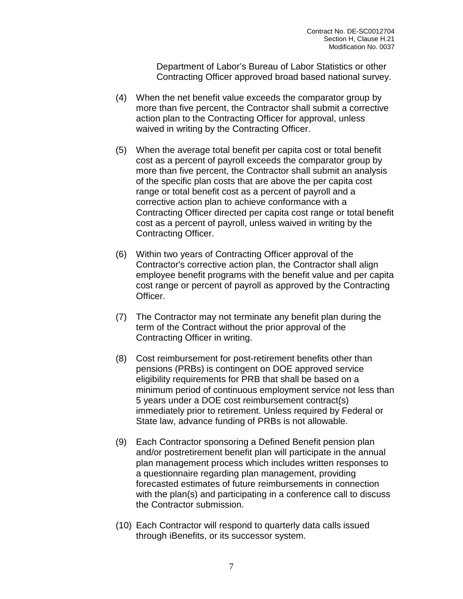Department of Labor's Bureau of Labor Statistics or other Contracting Officer approved broad based national survey.

- (4) When the net benefit value exceeds the comparator group by more than five percent, the Contractor shall submit a corrective action plan to the Contracting Officer for approval, unless waived in writing by the Contracting Officer.
- (5) When the average total benefit per capita cost or total benefit cost as a percent of payroll exceeds the comparator group by more than five percent, the Contractor shall submit an analysis of the specific plan costs that are above the per capita cost range or total benefit cost as a percent of payroll and a corrective action plan to achieve conformance with a Contracting Officer directed per capita cost range or total benefit cost as a percent of payroll, unless waived in writing by the Contracting Officer.
- (6) Within two years of Contracting Officer approval of the Contractor's corrective action plan, the Contractor shall align employee benefit programs with the benefit value and per capita cost range or percent of payroll as approved by the Contracting Officer.
- (7) The Contractor may not terminate any benefit plan during the term of the Contract without the prior approval of the Contracting Officer in writing.
- (8) Cost reimbursement for post-retirement benefits other than pensions (PRBs) is contingent on DOE approved service eligibility requirements for PRB that shall be based on a minimum period of continuous employment service not less than 5 years under a DOE cost reimbursement contract(s) immediately prior to retirement. Unless required by Federal or State law, advance funding of PRBs is not allowable.
- (9) Each Contractor sponsoring a Defined Benefit pension plan and/or postretirement benefit plan will participate in the annual plan management process which includes written responses to a questionnaire regarding plan management, providing forecasted estimates of future reimbursements in connection with the plan(s) and participating in a conference call to discuss the Contractor submission.
- (10) Each Contractor will respond to quarterly data calls issued through iBenefits, or its successor system.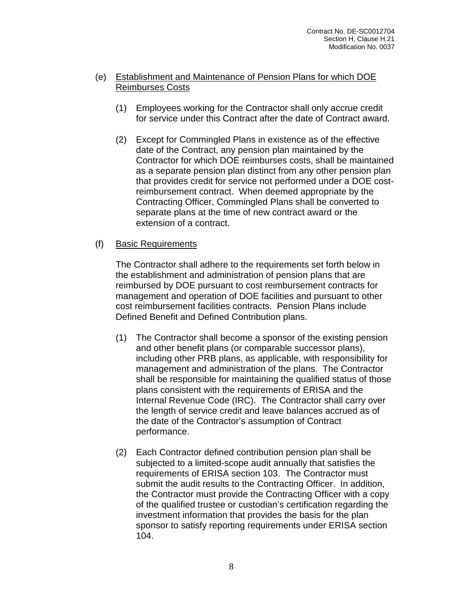#### (e) Establishment and Maintenance of Pension Plans for which DOE Reimburses Costs

- (1) Employees working for the Contractor shall only accrue credit for service under this Contract after the date of Contract award.
- (2) Except for Commingled Plans in existence as of the effective date of the Contract, any pension plan maintained by the Contractor for which DOE reimburses costs, shall be maintained as a separate pension plan distinct from any other pension plan that provides credit for service not performed under a DOE costreimbursement contract. When deemed appropriate by the Contracting Officer, Commingled Plans shall be converted to separate plans at the time of new contract award or the extension of a contract.

#### (f) Basic Requirements

The Contractor shall adhere to the requirements set forth below in the establishment and administration of pension plans that are reimbursed by DOE pursuant to cost reimbursement contracts for management and operation of DOE facilities and pursuant to other cost reimbursement facilities contracts. Pension Plans include Defined Benefit and Defined Contribution plans.

- (1) The Contractor shall become a sponsor of the existing pension and other benefit plans (or comparable successor plans), including other PRB plans, as applicable, with responsibility for management and administration of the plans. The Contractor shall be responsible for maintaining the qualified status of those plans consistent with the requirements of ERISA and the Internal Revenue Code (IRC). The Contractor shall carry over the length of service credit and leave balances accrued as of the date of the Contractor's assumption of Contract performance.
- (2) Each Contractor defined contribution pension plan shall be subjected to a limited-scope audit annually that satisfies the requirements of ERISA section 103. The Contractor must submit the audit results to the Contracting Officer. In addition, the Contractor must provide the Contracting Officer with a copy of the qualified trustee or custodian's certification regarding the investment information that provides the basis for the plan sponsor to satisfy reporting requirements under ERISA section 104.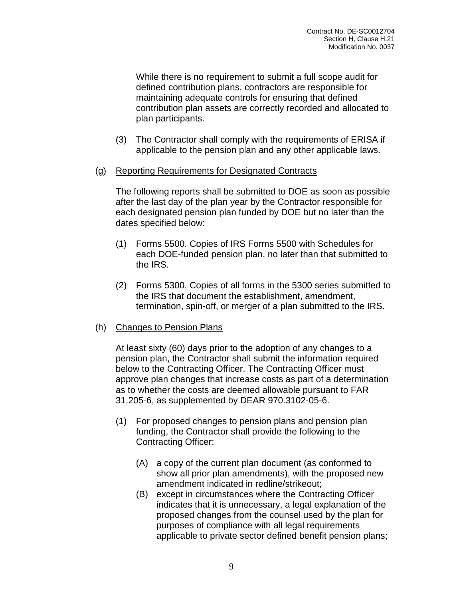While there is no requirement to submit a full scope audit for defined contribution plans, contractors are responsible for maintaining adequate controls for ensuring that defined contribution plan assets are correctly recorded and allocated to plan participants.

- (3) The Contractor shall comply with the requirements of ERISA if applicable to the pension plan and any other applicable laws.
- (g) Reporting Requirements for Designated Contracts

The following reports shall be submitted to DOE as soon as possible after the last day of the plan year by the Contractor responsible for each designated pension plan funded by DOE but no later than the dates specified below:

- (1) Forms 5500. Copies of IRS Forms 5500 with Schedules for each DOE-funded pension plan, no later than that submitted to the IRS.
- (2) Forms 5300. Copies of all forms in the 5300 series submitted to the IRS that document the establishment, amendment, termination, spin-off, or merger of a plan submitted to the IRS.
- (h) Changes to Pension Plans

At least sixty (60) days prior to the adoption of any changes to a pension plan, the Contractor shall submit the information required below to the Contracting Officer. The Contracting Officer must approve plan changes that increase costs as part of a determination as to whether the costs are deemed allowable pursuant to FAR 31.205-6, as supplemented by DEAR 970.3102-05-6.

- (1) For proposed changes to pension plans and pension plan funding, the Contractor shall provide the following to the Contracting Officer:
	- (A) a copy of the current plan document (as conformed to show all prior plan amendments), with the proposed new amendment indicated in redline/strikeout;
	- (B) except in circumstances where the Contracting Officer indicates that it is unnecessary, a legal explanation of the proposed changes from the counsel used by the plan for purposes of compliance with all legal requirements applicable to private sector defined benefit pension plans;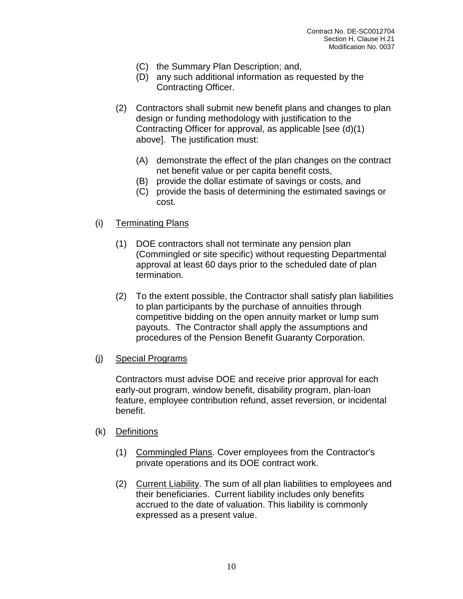- (C) the Summary Plan Description; and,
- (D) any such additional information as requested by the Contracting Officer.
- (2) Contractors shall submit new benefit plans and changes to plan design or funding methodology with justification to the Contracting Officer for approval, as applicable [see (d)(1) above]. The justification must:
	- (A) demonstrate the effect of the plan changes on the contract net benefit value or per capita benefit costs,
	- (B) provide the dollar estimate of savings or costs, and
	- (C) provide the basis of determining the estimated savings or cost.
- (i) Terminating Plans
	- (1) DOE contractors shall not terminate any pension plan (Commingled or site specific) without requesting Departmental approval at least 60 days prior to the scheduled date of plan termination.
	- (2) To the extent possible, the Contractor shall satisfy plan liabilities to plan participants by the purchase of annuities through competitive bidding on the open annuity market or lump sum payouts. The Contractor shall apply the assumptions and procedures of the Pension Benefit Guaranty Corporation.
- (j) Special Programs

Contractors must advise DOE and receive prior approval for each early-out program, window benefit, disability program, plan-loan feature, employee contribution refund, asset reversion, or incidental benefit.

- (k) Definitions
	- (1) Commingled Plans. Cover employees from the Contractor's private operations and its DOE contract work.
	- (2) Current Liability. The sum of all plan liabilities to employees and their beneficiaries. Current liability includes only benefits accrued to the date of valuation. This liability is commonly expressed as a present value.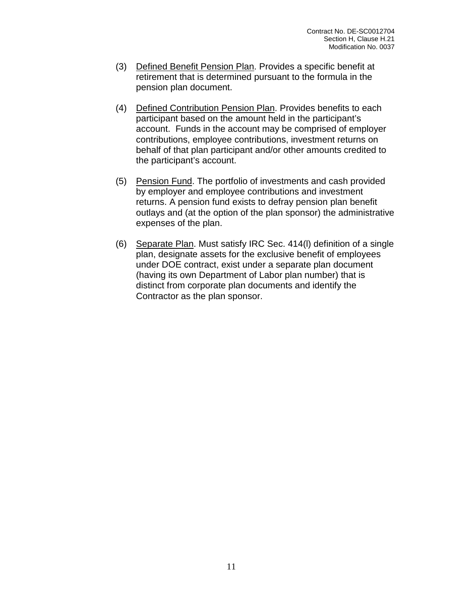- (3) Defined Benefit Pension Plan. Provides a specific benefit at retirement that is determined pursuant to the formula in the pension plan document.
- (4) Defined Contribution Pension Plan. Provides benefits to each participant based on the amount held in the participant's account. Funds in the account may be comprised of employer contributions, employee contributions, investment returns on behalf of that plan participant and/or other amounts credited to the participant's account.
- (5) Pension Fund. The portfolio of investments and cash provided by employer and employee contributions and investment returns. A pension fund exists to defray pension plan benefit outlays and (at the option of the plan sponsor) the administrative expenses of the plan.
- (6) Separate Plan. Must satisfy IRC Sec. 414(l) definition of a single plan, designate assets for the exclusive benefit of employees under DOE contract, exist under a separate plan document (having its own Department of Labor plan number) that is distinct from corporate plan documents and identify the Contractor as the plan sponsor.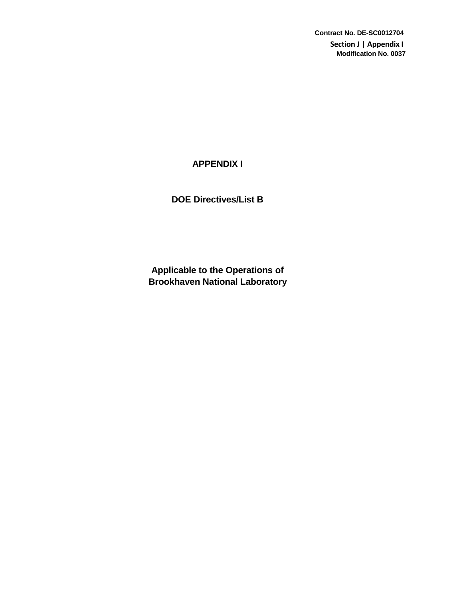**Contract No. DE-SC0012704 Section J | Appendix I Modification No. 0037**

# **APPENDIX I**

**DOE Directives/List B**

**Applicable to the Operations of Brookhaven National Laboratory**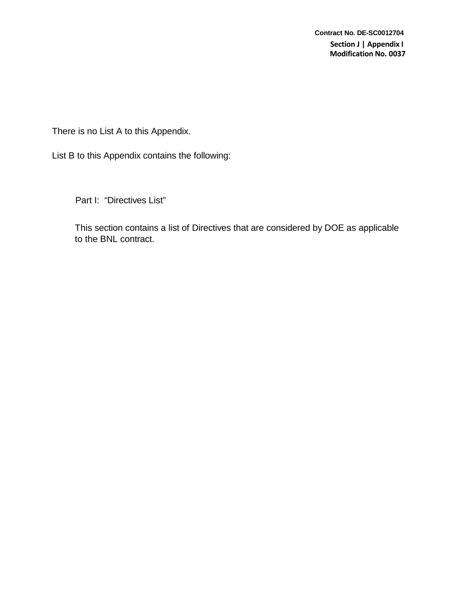There is no List A to this Appendix.

List B to this Appendix contains the following:

Part I: "Directives List"

This section contains a list of Directives that are considered by DOE as applicable to the BNL contract.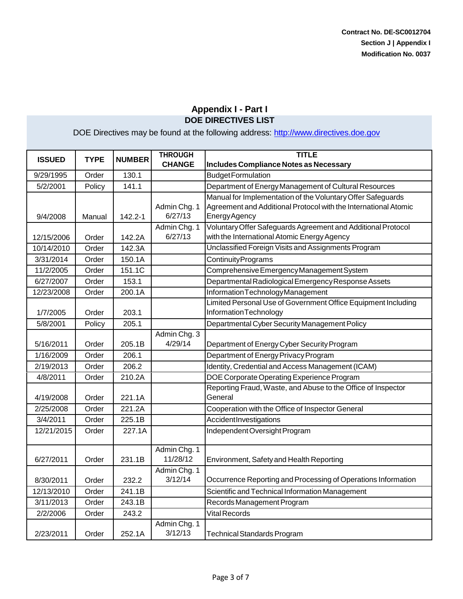| <b>ISSUED</b> | <b>TYPE</b> | <b>NUMBER</b> | <b>THROUGH</b><br><b>CHANGE</b> | <b>TITLE</b><br>Includes Compliance Notes as Necessary                                                                                         |
|---------------|-------------|---------------|---------------------------------|------------------------------------------------------------------------------------------------------------------------------------------------|
| 9/29/1995     | Order       | 130.1         |                                 | <b>Budget Formulation</b>                                                                                                                      |
| 5/2/2001      | Policy      | 141.1         |                                 | Department of Energy Management of Cultural Resources                                                                                          |
| 9/4/2008      | Manual      | 142.2-1       | Admin Chg. 1<br>6/27/13         | Manual for Implementation of the Voluntary Offer Safeguards<br>Agreement and Additional Protocol with the International Atomic<br>EnergyAgency |
| 12/15/2006    | Order       | 142.2A        | Admin Chg. 1<br>6/27/13         | Voluntary Offer Safeguards Agreement and Additional Protocol<br>with the International Atomic Energy Agency                                    |
| 10/14/2010    | Order       | 142.3A        |                                 | Unclassified Foreign Visits and Assignments Program                                                                                            |
| 3/31/2014     | Order       | 150.1A        |                                 | <b>ContinuityPrograms</b>                                                                                                                      |
| 11/2/2005     | Order       | 151.1C        |                                 | Comprehensive Emergency Management System                                                                                                      |
| 6/27/2007     | Order       | 153.1         |                                 | Departmental Radiological Emergency Response Assets                                                                                            |
| 12/23/2008    | Order       | 200.1A        |                                 | InformationTechnologyManagement                                                                                                                |
| 1/7/2005      | Order       | 203.1         |                                 | Limited Personal Use of Government Office Equipment Including<br>InformationTechnology                                                         |
| 5/8/2001      | Policy      | 205.1         |                                 | Departmental Cyber Security Management Policy                                                                                                  |
| 5/16/2011     | Order       | 205.1B        | Admin Chg. 3<br>4/29/14         | Department of Energy Cyber Security Program                                                                                                    |
| 1/16/2009     | Order       | 206.1         |                                 | Department of Energy Privacy Program                                                                                                           |
| 2/19/2013     | Order       | 206.2         |                                 | Identity, Credential and Access Management (ICAM)                                                                                              |
| 4/8/2011      | Order       | 210.2A        |                                 | DOE Corporate Operating Experience Program                                                                                                     |
| 4/19/2008     | Order       | 221.1A        |                                 | Reporting Fraud, Waste, and Abuse to the Office of Inspector<br>General                                                                        |
| 2/25/2008     | Order       | 221.2A        |                                 | Cooperation with the Office of Inspector General                                                                                               |
| 3/4/2011      | Order       | 225.1B        |                                 | AccidentInvestigations                                                                                                                         |
| 12/21/2015    | Order       | 227.1A        |                                 | Independent Oversight Program                                                                                                                  |
| 6/27/2011     | Order       | 231.1B        | Admin Chg. 1<br>11/28/12        | Environment, Safety and Health Reporting                                                                                                       |
| 8/30/2011     | Order       | 232.2         | Admin Chg. 1<br>3/12/14         | Occurrence Reporting and Processing of Operations Information                                                                                  |
| 12/13/2010    | Order       | 241.1B        |                                 | Scientific and Technical Information Management                                                                                                |
| 3/11/2013     | Order       | 243.1B        |                                 | Records Management Program                                                                                                                     |
| 2/2/2006      | Order       | 243.2         |                                 | <b>Vital Records</b>                                                                                                                           |
| 2/23/2011     | Order       | 252.1A        | Admin Chg. 1<br>3/12/13         | Technical Standards Program                                                                                                                    |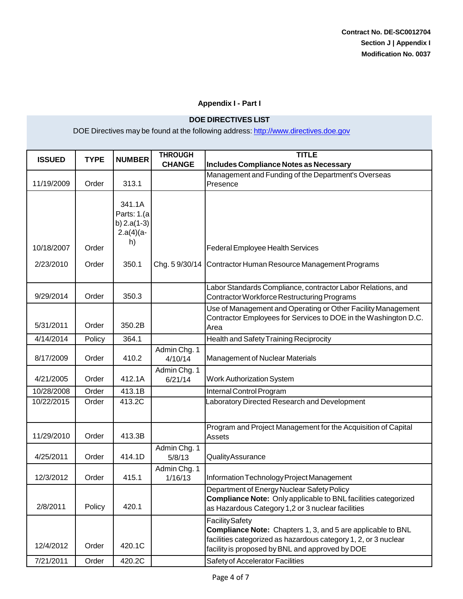#### **Appendix I - Part I**

#### **DOE DIRECTIVES LIST**

| <b>ISSUED</b>           | <b>TYPE</b>    | <b>NUMBER</b>                                                        | <b>THROUGH</b><br><b>CHANGE</b> | <b>TITLE</b><br>Includes Compliance Notes as Necessary                                                                                                                                                                                          |
|-------------------------|----------------|----------------------------------------------------------------------|---------------------------------|-------------------------------------------------------------------------------------------------------------------------------------------------------------------------------------------------------------------------------------------------|
| 11/19/2009              | Order          | 313.1                                                                |                                 | Management and Funding of the Department's Overseas<br>Presence                                                                                                                                                                                 |
| 10/18/2007<br>2/23/2010 | Order<br>Order | 341.1A<br>Parts: 1.(a<br>b) $2.a(1-3)$<br>$2.a(4)(a-$<br>h)<br>350.1 | Chg. 59/30/14                   | <b>Federal Employee Health Services</b><br>Contractor Human Resource Management Programs                                                                                                                                                        |
| 9/29/2014               | Order          | 350.3                                                                |                                 | Labor Standards Compliance, contractor Labor Relations, and<br>Contractor Workforce Restructuring Programs                                                                                                                                      |
| 5/31/2011               | Order          | 350.2B                                                               |                                 | Use of Management and Operating or Other Facility Management<br>Contractor Employees for Services to DOE in the Washington D.C.<br>Area                                                                                                         |
| 4/14/2014               | Policy         | 364.1                                                                |                                 | Health and Safety Training Reciprocity                                                                                                                                                                                                          |
| 8/17/2009               | Order          | 410.2                                                                | Admin Chg. 1<br>4/10/14         | <b>Management of Nuclear Materials</b>                                                                                                                                                                                                          |
| 4/21/2005               | Order          | 412.1A                                                               | Admin Chg. 1<br>6/21/14         | <b>Work Authorization System</b>                                                                                                                                                                                                                |
| 10/28/2008              | Order          | 413.1B                                                               |                                 | Internal Control Program                                                                                                                                                                                                                        |
| 10/22/2015              | Order          | 413.2C                                                               |                                 | Laboratory Directed Research and Development                                                                                                                                                                                                    |
| 11/29/2010              | Order          | 413.3B                                                               |                                 | Program and Project Management for the Acquisition of Capital<br><b>Assets</b>                                                                                                                                                                  |
| 4/25/2011               | Order          | 414.1D                                                               | Admin Chg. 1<br>5/8/13          | QualityAssurance                                                                                                                                                                                                                                |
| 12/3/2012               | Order          | 415.1                                                                | Admin Chg. 1<br>1/16/13         | Information Technology Project Management                                                                                                                                                                                                       |
| 2/8/2011                | Policy         | 420.1                                                                |                                 | Department of Energy Nuclear Safety Policy<br><b>Compliance Note:</b> Only applicable to BNL facilities categorized<br>as Hazardous Category 1,2 or 3 nuclear facilities                                                                        |
| 12/4/2012<br>7/21/2011  | Order<br>Order | 420.1C<br>420.2C                                                     |                                 | <b>Facility Safety</b><br>Compliance Note: Chapters 1, 3, and 5 are applicable to BNL<br>facilities categorized as hazardous category 1, 2, or 3 nuclear<br>facility is proposed by BNL and approved by DOE<br>Safety of Accelerator Facilities |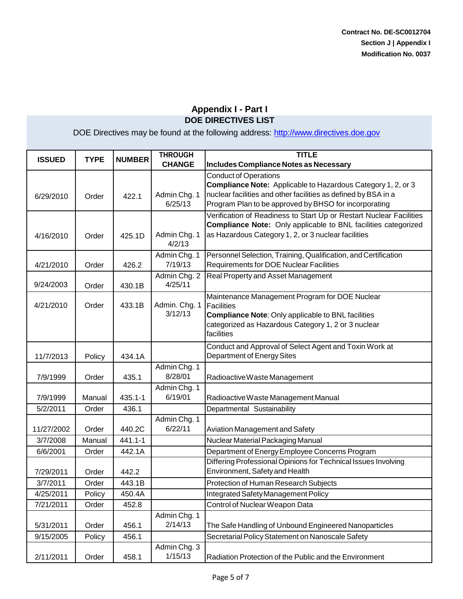| <b>ISSUED</b> | <b>TYPE</b> | <b>NUMBER</b> | <b>THROUGH</b>           | <b>TITLE</b>                                                                                                                                                                                                            |
|---------------|-------------|---------------|--------------------------|-------------------------------------------------------------------------------------------------------------------------------------------------------------------------------------------------------------------------|
|               |             |               | <b>CHANGE</b>            | Includes Compliance Notes as Necessary                                                                                                                                                                                  |
| 6/29/2010     | Order       | 422.1         | Admin Chg. 1<br>6/25/13  | <b>Conduct of Operations</b><br>Compliance Note: Applicable to Hazardous Category 1, 2, or 3<br>nuclear facilities and other facilities as defined by BSA in a<br>Program Plan to be approved by BHSO for incorporating |
| 4/16/2010     | Order       | 425.1D        | Admin Chg. 1<br>4/2/13   | Verification of Readiness to Start Up or Restart Nuclear Facilities<br>Compliance Note: Only applicable to BNL facilities categorized<br>as Hazardous Category 1, 2, or 3 nuclear facilities                            |
| 4/21/2010     | Order       | 426.2         | Admin Chg. 1<br>7/19/13  | Personnel Selection, Training, Qualification, and Certification<br>Requirements for DOE Nuclear Facilities                                                                                                              |
| 9/24/2003     | Order       | 430.1B        | Admin Chg. 2<br>4/25/11  | Real Property and Asset Management                                                                                                                                                                                      |
| 4/21/2010     | Order       | 433.1B        | Admin. Chg. 1<br>3/12/13 | Maintenance Management Program for DOE Nuclear<br>Facilities<br><b>Compliance Note: Only applicable to BNL facilities</b><br>categorized as Hazardous Category 1, 2 or 3 nuclear<br>facilities                          |
| 11/7/2013     | Policy      | 434.1A        |                          | Conduct and Approval of Select Agent and Toxin Work at<br>Department of Energy Sites                                                                                                                                    |
| 7/9/1999      | Order       | 435.1         | Admin Chg. 1<br>8/28/01  | Radioactive Waste Management                                                                                                                                                                                            |
| 7/9/1999      | Manual      | $435.1 - 1$   | Admin Chg. 1<br>6/19/01  | Radioactive Waste Management Manual                                                                                                                                                                                     |
| 5/2/2011      | Order       | 436.1         |                          | Departmental Sustainability                                                                                                                                                                                             |
| 11/27/2002    | Order       | 440.2C        | Admin Chg. 1<br>6/22/11  | Aviation Management and Safety                                                                                                                                                                                          |
| 3/7/2008      | Manual      | 441.1-1       |                          | Nuclear Material Packaging Manual                                                                                                                                                                                       |
| 6/6/2001      | Order       | 442.1A        |                          | Department of Energy Employee Concerns Program                                                                                                                                                                          |
| 7/29/2011     | Order       | 442.2         |                          | Differing Professional Opinions for Technical Issues Involving<br>Environment, Safety and Health                                                                                                                        |
| 3/7/2011      | Order       | 443.1B        |                          | Protection of Human Research Subjects                                                                                                                                                                                   |
| 4/25/2011     | Policy      | 450.4A        |                          | Integrated Safety Management Policy                                                                                                                                                                                     |
| 7/21/2011     | Order       | 452.8         |                          | Control of Nuclear Weapon Data                                                                                                                                                                                          |
| 5/31/2011     | Order       | 456.1         | Admin Chg. 1<br>2/14/13  | The Safe Handling of Unbound Engineered Nanoparticles                                                                                                                                                                   |
| 9/15/2005     | Policy      | 456.1         |                          | Secretarial Policy Statement on Nanoscale Safety                                                                                                                                                                        |
| 2/11/2011     | Order       | 458.1         | Admin Chg. 3<br>1/15/13  | Radiation Protection of the Public and the Environment                                                                                                                                                                  |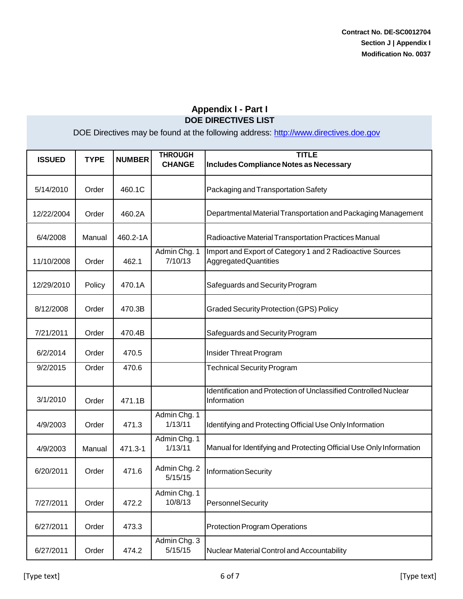| <b>ISSUED</b> | <b>TYPE</b> | <b>NUMBER</b> | <b>THROUGH</b><br><b>CHANGE</b> | <b>TITLE</b><br>Includes Compliance Notes as Necessary                                   |
|---------------|-------------|---------------|---------------------------------|------------------------------------------------------------------------------------------|
| 5/14/2010     | Order       | 460.1C        |                                 | Packaging and Transportation Safety                                                      |
| 12/22/2004    | Order       | 460.2A        |                                 | Departmental Material Transportation and Packaging Management                            |
| 6/4/2008      | Manual      | 460.2-1A      |                                 | Radioactive Material Transportation Practices Manual                                     |
| 11/10/2008    | Order       | 462.1         | Admin Chg. 1<br>7/10/13         | Import and Export of Category 1 and 2 Radioactive Sources<br><b>AggregatedQuantities</b> |
| 12/29/2010    | Policy      | 470.1A        |                                 | Safeguards and Security Program                                                          |
| 8/12/2008     | Order       | 470.3B        |                                 | <b>Graded Security Protection (GPS) Policy</b>                                           |
| 7/21/2011     | Order       | 470.4B        |                                 | Safeguards and Security Program                                                          |
| 6/2/2014      | Order       | 470.5         |                                 | Insider Threat Program                                                                   |
| 9/2/2015      | Order       | 470.6         |                                 | <b>Technical Security Program</b>                                                        |
| 3/1/2010      | Order       | 471.1B        |                                 | Identification and Protection of Unclassified Controlled Nuclear<br>Information          |
| 4/9/2003      | Order       | 471.3         | Admin Chg. 1<br>1/13/11         | Identifying and Protecting Official Use Only Information                                 |
| 4/9/2003      | Manual      | 471.3-1       | Admin Chg. 1<br>1/13/11         | Manual for Identifying and Protecting Official Use Only Information                      |
| 6/20/2011     | Order       | 471.6         | Admin Chg. 2<br>5/15/15         | <b>Information Security</b>                                                              |
| 7/27/2011     | Order       | 472.2         | Admin Chg. 1<br>10/8/13         | <b>PersonnelSecurity</b>                                                                 |
| 6/27/2011     | Order       | 473.3         |                                 | <b>Protection Program Operations</b>                                                     |
| 6/27/2011     | Order       | 474.2         | Admin Chg. 3<br>5/15/15         | Nuclear Material Control and Accountability                                              |